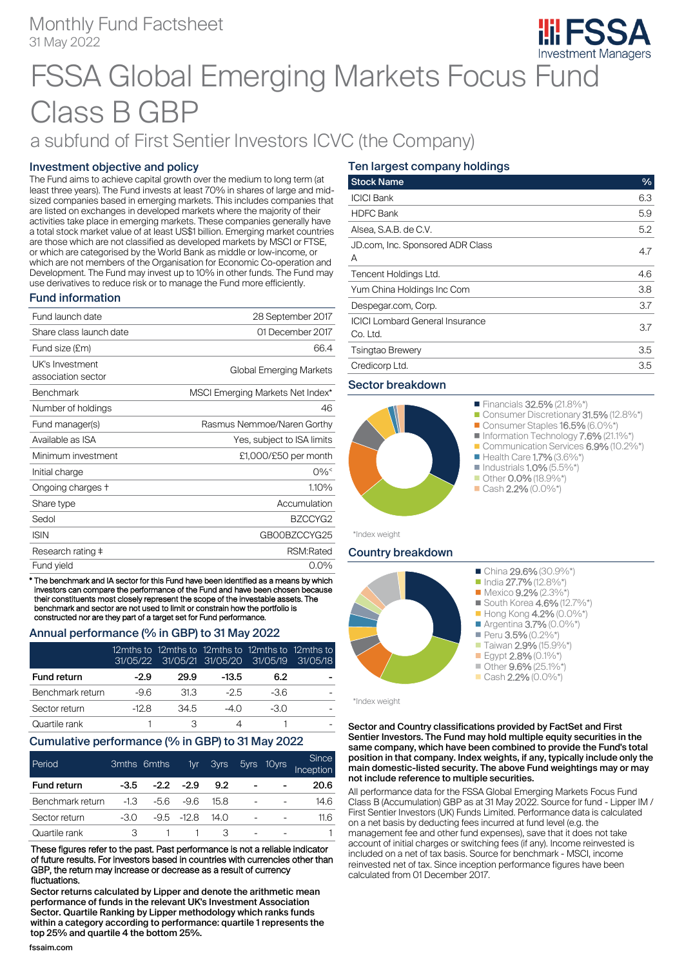# Monthly Fund Factsheet 31 May 2022



# FSSA Global Emerging Markets Focus Fund Class B GBP

# a subfund of First Sentier Investors ICVC (the Company)

## Investment objective and policy

The Fund aims to achieve capital growth over the medium to long term (at least three years). The Fund invests at least 70% in shares of large and midsized companies based in emerging markets. This includes companies that are listed on exchanges in developed markets where the majority of their activities take place in emerging markets. These companies generally have a total stock market value of at least US\$1 billion. Emerging market countries are those which are not classified as developed markets by MSCI or FTSE, or which are categorised by the World Bank as middle or low-income, or which are not members of the Organisation for Economic Co-operation and Development. The Fund may invest up to 10% in other funds. The Fund may use derivatives to reduce risk or to manage the Fund more efficiently.

### Fund information

| Fund launch date                      | 28 September 2017                |
|---------------------------------------|----------------------------------|
| Share class launch date               | 01 December 2017                 |
| Fund size (£m)                        | 66.4                             |
| UK's Investment<br>association sector | Global Emerging Markets          |
| <b>Benchmark</b>                      | MSCI Emerging Markets Net Index* |
| Number of holdings                    | 46                               |
| Fund manager(s)                       | Rasmus Nemmoe/Naren Gorthy       |
| Available as ISA                      | Yes, subject to ISA limits       |
| Minimum investment                    | £1,000/£50 per month             |
| Initial charge                        | $0\%^<$                          |
| Ongoing charges +                     | 1.10%                            |
| Share type                            | Accumulation                     |
| Sedol                                 | BZCCYG2                          |
| <b>ISIN</b>                           | GB00BZCCYG25                     |
| Research rating ‡                     | RSM:Rated                        |
| Fund yield                            | $0.0\%$                          |

\* The benchmark and IA sector for this Fund have been identified as a means by which investors can compare the performance of the Fund and have been chosen because their constituents most closely represent the scope of the investable assets. The benchmark and sector are not used to limit or constrain how the portfolio is constructed nor are they part of a target set for Fund performance.

#### Annual performance (% in GBP) to 31 May 2022

|                    | 31/05/22 | 12mths to 12mths to 12mths to 12mths to 12mths to | 31/05/21 31/05/20 31/05/19 |       | 31/05/18 |
|--------------------|----------|---------------------------------------------------|----------------------------|-------|----------|
| <b>Fund return</b> | $-2.9$   | 29.9                                              | $-13.5$                    | 6.2   |          |
| Benchmark return   | -9.6     | 31.3                                              | $-2.5$                     | -36   |          |
| Sector return      | -12 R    | 34.5                                              | $-40$                      | $-30$ |          |
| Quartile rank      |          |                                                   |                            |       |          |

#### Cumulative performance (% in GBP) to 31 May 2022

| Period           |        | 3mths 6mths | 1yr '       | <b>3yrs</b> | 5yrs 10yrs | Since<br>Inception |
|------------------|--------|-------------|-------------|-------------|------------|--------------------|
| Fund return      | -3.5   |             | $-2.2 -2.9$ | 9.2         |            | 20.6               |
| Benchmark return | $-1.3$ | -56         | -9.6        | 15.8        | -          | 14.6               |
| Sector return    | -30    |             | $-95 - 128$ | 14 N        |            | 11.6               |
| Quartile rank    |        |             |             | З           |            |                    |

These figures refer to the past. Past performance is not a reliable indicator of future results. For investors based in countries with currencies other than GBP, the return may increase or decrease as a result of currency fluctuations.

Sector returns calculated by Lipper and denote the arithmetic mean performance of funds in the relevant UK's Investment Association Sector. Quartile Ranking by Lipper methodology which ranks funds within a category according to performance: quartile 1 represents the top 25% and quartile 4 the bottom 25%.

# Ten largest company holdings

| <b>Stock Name</b>                                  | $\%$ |
|----------------------------------------------------|------|
| <b>ICICI Bank</b>                                  | 6.3  |
| <b>HDFC Bank</b>                                   | 5.9  |
| Alsea, S.A.B. de C.V.                              | 5.2  |
| JD.com, Inc. Sponsored ADR Class<br>А              | 4.7  |
| Tencent Holdings Ltd.                              | 4.6  |
| Yum China Holdings Inc Com                         | 3.8  |
| Despegar.com, Corp.                                | 3.7  |
| <b>ICICI Lombard General Insurance</b><br>Co. Ltd. | 3.7  |
| <b>Tsingtao Brewery</b>                            | 3.5  |
| Credicorp Ltd.                                     | 3.5  |
|                                                    |      |

#### Sector breakdown



\*Index weight

### Country breakdown



\*Index weight

#### Sector and Country classifications provided by FactSet and First Sentier Investors. The Fund may hold multiple equity securities in the same company, which have been combined to provide the Fund's total position in that company. Index weights, if any, typically include only the main domestic-listed security. The above Fund weightings may or may not include reference to multiple securities.

All performance data for the FSSA Global Emerging Markets Focus Fund Class B (Accumulation) GBP as at 31 May 2022. Source for fund - Lipper IM / First Sentier Investors (UK) Funds Limited. Performance data is calculated on a net basis by deducting fees incurred at fund level (e.g. the management fee and other fund expenses), save that it does not take account of initial charges or switching fees (if any). Income reinvested is included on a net of tax basis. Source for benchmark - MSCI, income reinvested net of tax. Since inception performance figures have been calculated from 01 December 2017.